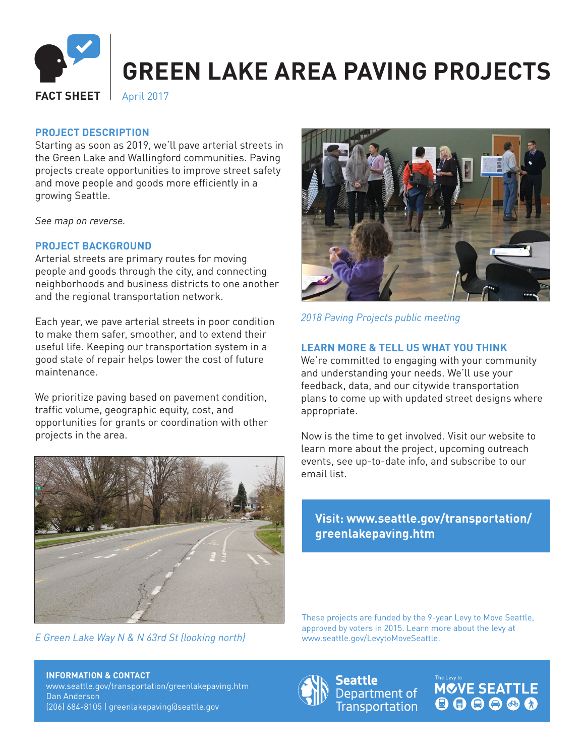

# **PROJECT DESCRIPTION**

Starting as soon as 2019, we'll pave arterial streets in the Green Lake and Wallingford communities. Paving projects create opportunities to improve street safety and move people and goods more efficiently in a growing Seattle.

*See map on reverse.*

### **PROJECT BACKGROUND**

Arterial streets are primary routes for moving people and goods through the city, and connecting neighborhoods and business districts to one another and the regional transportation network.

Each year, we pave arterial streets in poor condition to make them safer, smoother, and to extend their useful life. Keeping our transportation system in a good state of repair helps lower the cost of future maintenance.

We prioritize paving based on pavement condition, traffic volume, geographic equity, cost, and opportunities for grants or coordination with other projects in the area.



*E Green Lake Way N & N 63rd St (looking north)*



*2018 Paving Projects public meeting*

### **LEARN MORE & TELL US WHAT YOU THINK**

We're committed to engaging with your community and understanding your needs. We'll use your feedback, data, and our citywide transportation plans to come up with updated street designs where appropriate.

Now is the time to get involved. Visit our website to learn more about the project, upcoming outreach events, see up-to-date info, and subscribe to our email list.

## **Visit: www.seattle.gov/transportation/ greenlakepaving.htm**

These projects are funded by the 9-year Levy to Move Seattle, approved by voters in 2015. Learn more about the levy at www.seattle.gov/LevytoMoveSeattle.

**INFORMATION & CONTACT** www.seattle.gov/transportation/greenlakepaving.htm Dan Anderson (206) 684-8105 | greenlakepaving@seattle.gov



Seattle Department of **Transportation**  **MCVE SEATTLE**  $\begin{array}{c} \bullet\bullet\bullet\bullet\bullet\bullet\end{array}$